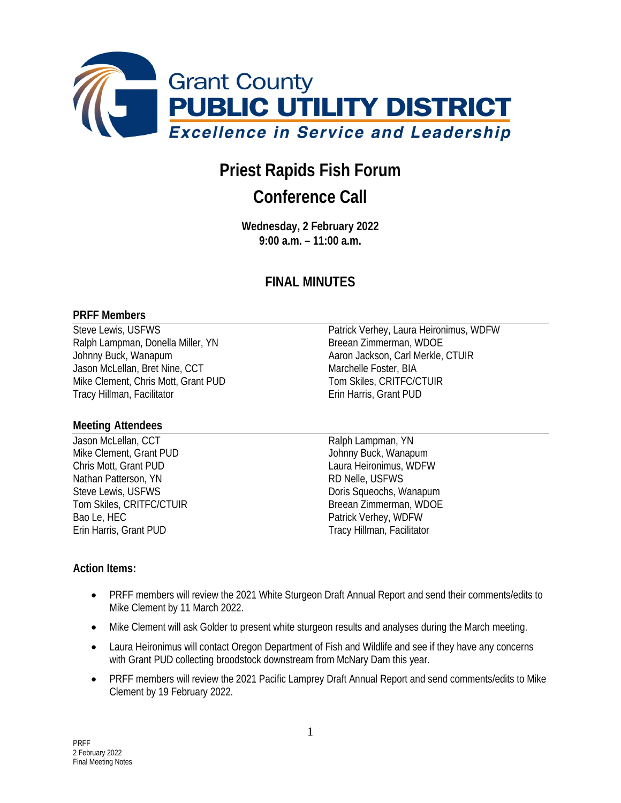

# **Priest Rapids Fish Forum**

## **Conference Call**

**Wednesday, 2 February 2022 9:00 a.m. – 11:00 a.m.**

### **FINAL MINUTES**

#### **PRFF Members**

Ralph Lampman, Donella Miller, YN Breean Zimmerman, WDOE Johnny Buck, Wanapum **Aaron Jackson, Carl Merkle, CTUIR** Jason McLellan, Bret Nine, CCT Marchelle Foster, BIA Mike Clement, Chris Mott, Grant PUD Tom Skiles, CRITFC/CTUIR Tracy Hillman, Facilitator **Example 20 Francisco Example 20 Francis**, Grant PUD

#### **Meeting Attendees**

Jason McLellan, CCT and The Contract Contract Ralph Lampman, YN Mike Clement, Grant PUD Johnny Buck, Wanapum Chris Mott, Grant PUD Laura Heironimus, WDFW Nathan Patterson, YN RD Nelle, USFWS Steve Lewis, USFWS **Domestial Contract Contract Contract Contract Contract Contract Contract Contract Contract Contract Contract Contract Contract Contract Contract Contract Contract Contract Contract Contract Contract Con** Bao Le, HEC<br>
Erin Harris. Grant PUD<br>
Fracy Hillman. Facilitate

Steve Lewis, USFWS **Patrick Verhey, Laura Heironimus, WDFW** 

Tom Skiles, CRITFC/CTUIR Breean Zimmerman, WDOE Tracy Hillman, Facilitator

#### **Action Items:**

- PRFF members will review the 2021 White Sturgeon Draft Annual Report and send their comments/edits to Mike Clement by 11 March 2022.
- Mike Clement will ask Golder to present white sturgeon results and analyses during the March meeting.
- Laura Heironimus will contact Oregon Department of Fish and Wildlife and see if they have any concerns with Grant PUD collecting broodstock downstream from McNary Dam this year.
- PRFF members will review the 2021 Pacific Lamprey Draft Annual Report and send comments/edits to Mike Clement by 19 February 2022.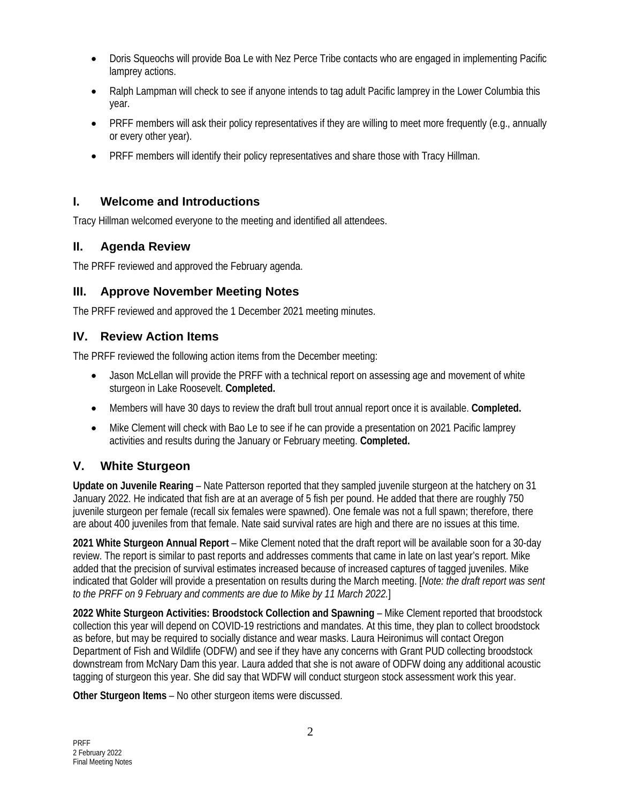- Doris Squeochs will provide Boa Le with Nez Perce Tribe contacts who are engaged in implementing Pacific lamprey actions.
- Ralph Lampman will check to see if anyone intends to tag adult Pacific lamprey in the Lower Columbia this year.
- PRFF members will ask their policy representatives if they are willing to meet more frequently (e.g., annually or every other year).
- PRFF members will identify their policy representatives and share those with Tracy Hillman.

#### **I. Welcome and Introductions**

Tracy Hillman welcomed everyone to the meeting and identified all attendees.

#### **II. Agenda Review**

The PRFF reviewed and approved the February agenda.

#### **III. Approve November Meeting Notes**

The PRFF reviewed and approved the 1 December 2021 meeting minutes.

#### **IV. Review Action Items**

The PRFF reviewed the following action items from the December meeting:

- Jason McLellan will provide the PRFF with a technical report on assessing age and movement of white sturgeon in Lake Roosevelt. **Completed.**
- Members will have 30 days to review the draft bull trout annual report once it is available. **Completed.**
- Mike Clement will check with Bao Le to see if he can provide a presentation on 2021 Pacific lamprey activities and results during the January or February meeting. **Completed.**

#### **V. White Sturgeon**

**Update on Juvenile Rearing** – Nate Patterson reported that they sampled juvenile sturgeon at the hatchery on 31 January 2022. He indicated that fish are at an average of 5 fish per pound. He added that there are roughly 750 juvenile sturgeon per female (recall six females were spawned). One female was not a full spawn; therefore, there are about 400 juveniles from that female. Nate said survival rates are high and there are no issues at this time.

**2021 White Sturgeon Annual Report** – Mike Clement noted that the draft report will be available soon for a 30-day review. The report is similar to past reports and addresses comments that came in late on last year's report. Mike added that the precision of survival estimates increased because of increased captures of tagged juveniles. Mike indicated that Golder will provide a presentation on results during the March meeting. [*Note: the draft report was sent to the PRFF on 9 February and comments are due to Mike by 11 March 2022.*]

**2022 White Sturgeon Activities: Broodstock Collection and Spawning** – Mike Clement reported that broodstock collection this year will depend on COVID-19 restrictions and mandates. At this time, they plan to collect broodstock as before, but may be required to socially distance and wear masks. Laura Heironimus will contact Oregon Department of Fish and Wildlife (ODFW) and see if they have any concerns with Grant PUD collecting broodstock downstream from McNary Dam this year. Laura added that she is not aware of ODFW doing any additional acoustic tagging of sturgeon this year. She did say that WDFW will conduct sturgeon stock assessment work this year.

**Other Sturgeon Items** – No other sturgeon items were discussed.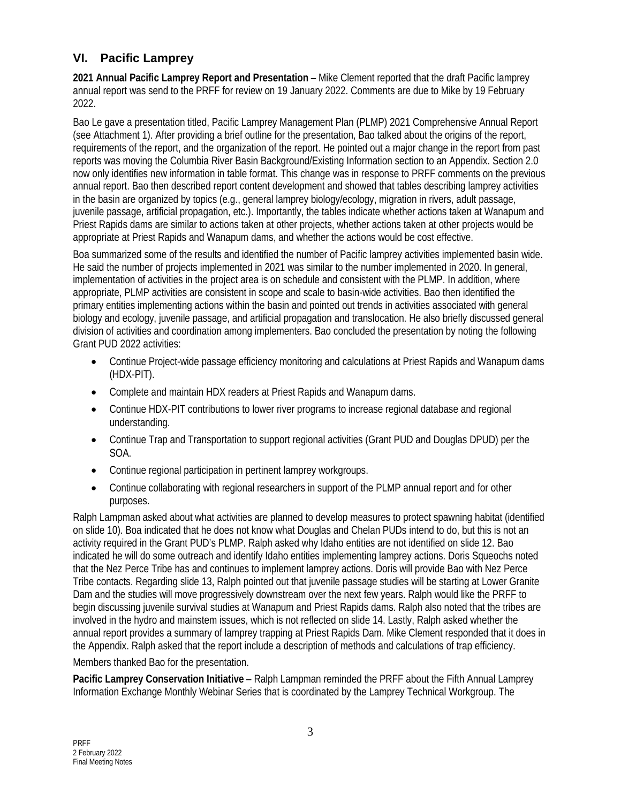#### **VI. Pacific Lamprey**

**2021 Annual Pacific Lamprey Report and Presentation** – Mike Clement reported that the draft Pacific lamprey annual report was send to the PRFF for review on 19 January 2022. Comments are due to Mike by 19 February 2022.

Bao Le gave a presentation titled, Pacific Lamprey Management Plan (PLMP) 2021 Comprehensive Annual Report (see Attachment 1). After providing a brief outline for the presentation, Bao talked about the origins of the report, requirements of the report, and the organization of the report. He pointed out a major change in the report from past reports was moving the Columbia River Basin Background/Existing Information section to an Appendix. Section 2.0 now only identifies new information in table format. This change was in response to PRFF comments on the previous annual report. Bao then described report content development and showed that tables describing lamprey activities in the basin are organized by topics (e.g., general lamprey biology/ecology, migration in rivers, adult passage, juvenile passage, artificial propagation, etc.). Importantly, the tables indicate whether actions taken at Wanapum and Priest Rapids dams are similar to actions taken at other projects, whether actions taken at other projects would be appropriate at Priest Rapids and Wanapum dams, and whether the actions would be cost effective.

Boa summarized some of the results and identified the number of Pacific lamprey activities implemented basin wide. He said the number of projects implemented in 2021 was similar to the number implemented in 2020. In general, implementation of activities in the project area is on schedule and consistent with the PLMP. In addition, where appropriate, PLMP activities are consistent in scope and scale to basin-wide activities. Bao then identified the primary entities implementing actions within the basin and pointed out trends in activities associated with general biology and ecology, juvenile passage, and artificial propagation and translocation. He also briefly discussed general division of activities and coordination among implementers. Bao concluded the presentation by noting the following Grant PUD 2022 activities:

- Continue Project-wide passage efficiency monitoring and calculations at Priest Rapids and Wanapum dams (HDX-PIT).
- Complete and maintain HDX readers at Priest Rapids and Wanapum dams.
- Continue HDX-PIT contributions to lower river programs to increase regional database and regional understanding.
- Continue Trap and Transportation to support regional activities (Grant PUD and Douglas DPUD) per the SOA.
- Continue regional participation in pertinent lamprey workgroups.
- Continue collaborating with regional researchers in support of the PLMP annual report and for other purposes.

Ralph Lampman asked about what activities are planned to develop measures to protect spawning habitat (identified on slide 10). Boa indicated that he does not know what Douglas and Chelan PUDs intend to do, but this is not an activity required in the Grant PUD's PLMP. Ralph asked why Idaho entities are not identified on slide 12. Bao indicated he will do some outreach and identify Idaho entities implementing lamprey actions. Doris Squeochs noted that the Nez Perce Tribe has and continues to implement lamprey actions. Doris will provide Bao with Nez Perce Tribe contacts. Regarding slide 13, Ralph pointed out that juvenile passage studies will be starting at Lower Granite Dam and the studies will move progressively downstream over the next few years. Ralph would like the PRFF to begin discussing juvenile survival studies at Wanapum and Priest Rapids dams. Ralph also noted that the tribes are involved in the hydro and mainstem issues, which is not reflected on slide 14. Lastly, Ralph asked whether the annual report provides a summary of lamprey trapping at Priest Rapids Dam. Mike Clement responded that it does in the Appendix. Ralph asked that the report include a description of methods and calculations of trap efficiency.

Members thanked Bao for the presentation.

**Pacific Lamprey Conservation Initiative** – Ralph Lampman reminded the PRFF about the Fifth Annual Lamprey Information Exchange Monthly Webinar Series that is coordinated by the Lamprey Technical Workgroup. The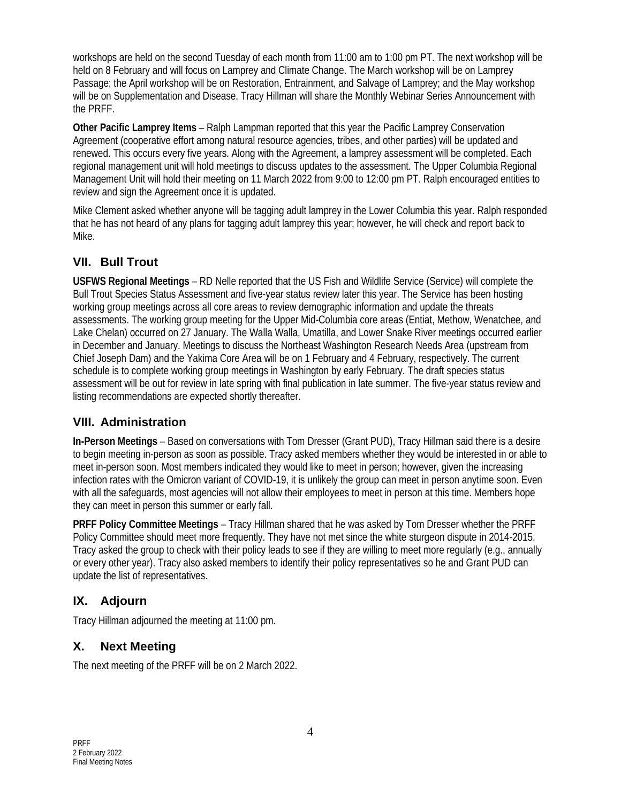workshops are held on the second Tuesday of each month from 11:00 am to 1:00 pm PT. The next workshop will be held on 8 February and will focus on Lamprey and Climate Change. The March workshop will be on Lamprey Passage; the April workshop will be on Restoration, Entrainment, and Salvage of Lamprey; and the May workshop will be on Supplementation and Disease. Tracy Hillman will share the Monthly Webinar Series Announcement with the PRFF.

**Other Pacific Lamprey Items** – Ralph Lampman reported that this year the Pacific Lamprey Conservation Agreement (cooperative effort among natural resource agencies, tribes, and other parties) will be updated and renewed. This occurs every five years. Along with the Agreement, a lamprey assessment will be completed. Each regional management unit will hold meetings to discuss updates to the assessment. The Upper Columbia Regional Management Unit will hold their meeting on 11 March 2022 from 9:00 to 12:00 pm PT. Ralph encouraged entities to review and sign the Agreement once it is updated.

Mike Clement asked whether anyone will be tagging adult lamprey in the Lower Columbia this year. Ralph responded that he has not heard of any plans for tagging adult lamprey this year; however, he will check and report back to Mike.

#### **VII. Bull Trout**

**USFWS Regional Meetings** – RD Nelle reported that the US Fish and Wildlife Service (Service) will complete the Bull Trout Species Status Assessment and five-year status review later this year. The Service has been hosting working group meetings across all core areas to review demographic information and update the threats assessments. The working group meeting for the Upper Mid-Columbia core areas (Entiat, Methow, Wenatchee, and Lake Chelan) occurred on 27 January. The Walla Walla, Umatilla, and Lower Snake River meetings occurred earlier in December and January. Meetings to discuss the Northeast Washington Research Needs Area (upstream from Chief Joseph Dam) and the Yakima Core Area will be on 1 February and 4 February, respectively. The current schedule is to complete working group meetings in Washington by early February. The draft species status assessment will be out for review in late spring with final publication in late summer. The five-year status review and listing recommendations are expected shortly thereafter.

#### **VIII. Administration**

**In-Person Meetings** – Based on conversations with Tom Dresser (Grant PUD), Tracy Hillman said there is a desire to begin meeting in-person as soon as possible. Tracy asked members whether they would be interested in or able to meet in-person soon. Most members indicated they would like to meet in person; however, given the increasing infection rates with the Omicron variant of COVID-19, it is unlikely the group can meet in person anytime soon. Even with all the safeguards, most agencies will not allow their employees to meet in person at this time. Members hope they can meet in person this summer or early fall.

**PRFF Policy Committee Meetings** – Tracy Hillman shared that he was asked by Tom Dresser whether the PRFF Policy Committee should meet more frequently. They have not met since the white sturgeon dispute in 2014-2015. Tracy asked the group to check with their policy leads to see if they are willing to meet more regularly (e.g., annually or every other year). Tracy also asked members to identify their policy representatives so he and Grant PUD can update the list of representatives.

#### **IX. Adjourn**

Tracy Hillman adjourned the meeting at 11:00 pm.

### **X. Next Meeting**

The next meeting of the PRFF will be on 2 March 2022.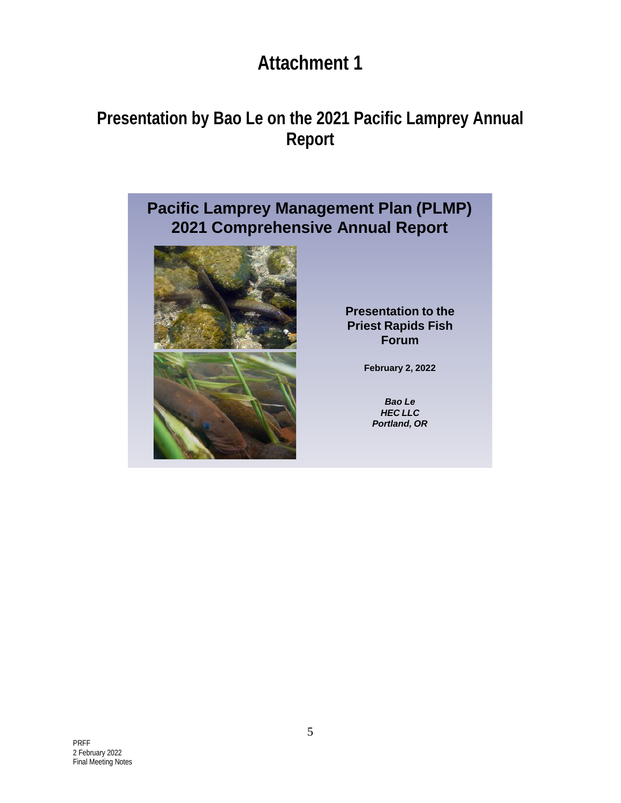# **Attachment 1**

# **Presentation by Bao Le on the 2021 Pacific Lamprey Annual Report**

### **Pacific Lamprey Management Plan (PLMP) 2021 Comprehensive Annual Report**



**Presentation to the Priest Rapids Fish Forum**

**February 2, 2022**

*Bao Le HEC LLC Portland, OR*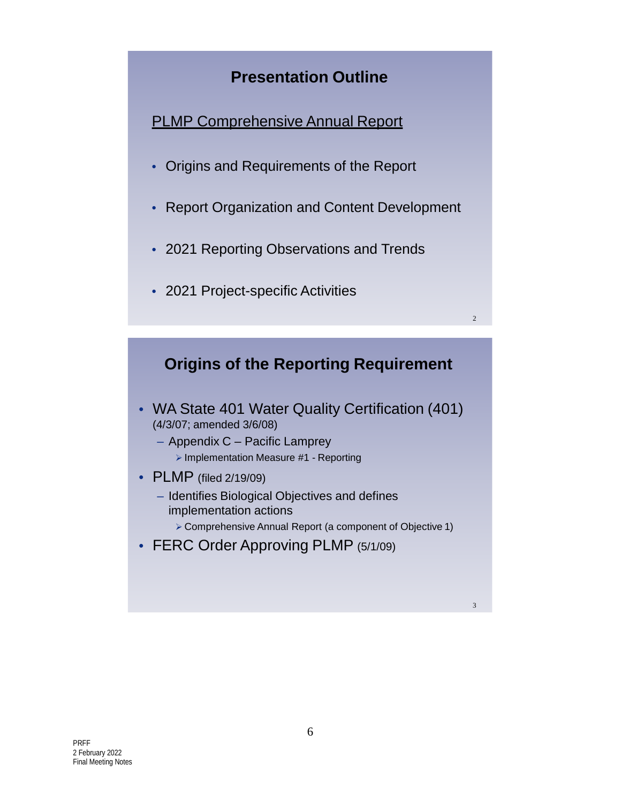### **Presentation Outline**

PLMP Comprehensive Annual Report

- Origins and Requirements of the Report
- Report Organization and Content Development
- 2021 Reporting Observations and Trends
- 2021 Project-specific Activities



2

- WA State 401 Water Quality Certification (401) (4/3/07; amended 3/6/08)
	- Appendix C Pacific Lamprey  $\triangleright$  Implementation Measure #1 - Reporting
- PLMP (filed 2/19/09)
	- Identifies Biological Objectives and defines implementation actions Comprehensive Annual Report (a component of Objective 1)
- FERC Order Approving PLMP (5/1/09)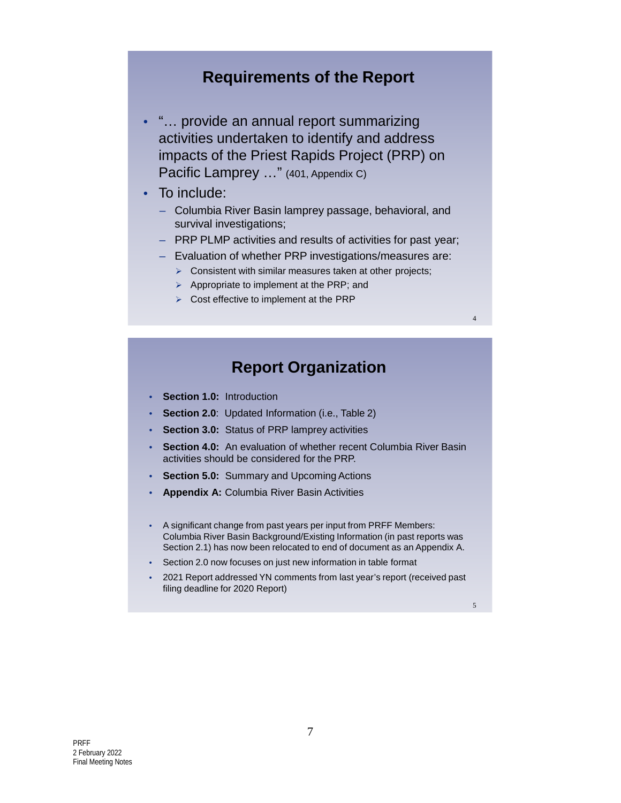### **Requirements of the Report**

- "… provide an annual report summarizing activities undertaken to identify and address impacts of the Priest Rapids Project (PRP) on Pacific Lamprey ..." (401, Appendix C)
- To include:
	- Columbia River Basin lamprey passage, behavioral, and survival investigations;
	- PRP PLMP activities and results of activities for past year;
	- Evaluation of whether PRP investigations/measures are:
		- $\triangleright$  Consistent with similar measures taken at other projects;
		- $\triangleright$  Appropriate to implement at the PRP; and
		- $\triangleright$  Cost effective to implement at the PRP

### **Report Organization**

- **Section 1.0:** Introduction
- **Section 2.0**: Updated Information (i.e., Table 2)
- **Section 3.0:** Status of PRP lamprey activities
- **Section 4.0:** An evaluation of whether recent Columbia River Basin activities should be considered for the PRP.
- **Section 5.0:** Summary and Upcoming Actions
- **Appendix A:** Columbia River Basin Activities
- A significant change from past years per input from PRFF Members: Columbia River Basin Background/Existing Information (in past reports was Section 2.1) has now been relocated to end of document as an Appendix A.
- Section 2.0 now focuses on just new information in table format
- 2021 Report addressed YN comments from last year's report (received past filing deadline for 2020 Report)

5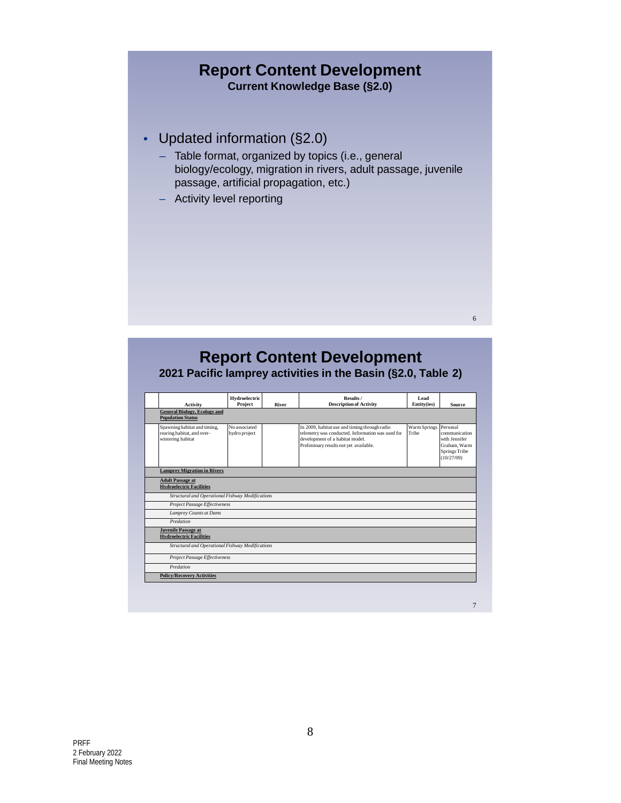#### **Report Content Development Current Knowledge Base (§2.0)**

- Updated information (§2.0)
	- Table format, organized by topics (i.e., general biology/ecology, migration in rivers, adult passage, juvenile passage, artificial propagation, etc.)

6

– Activity level reporting

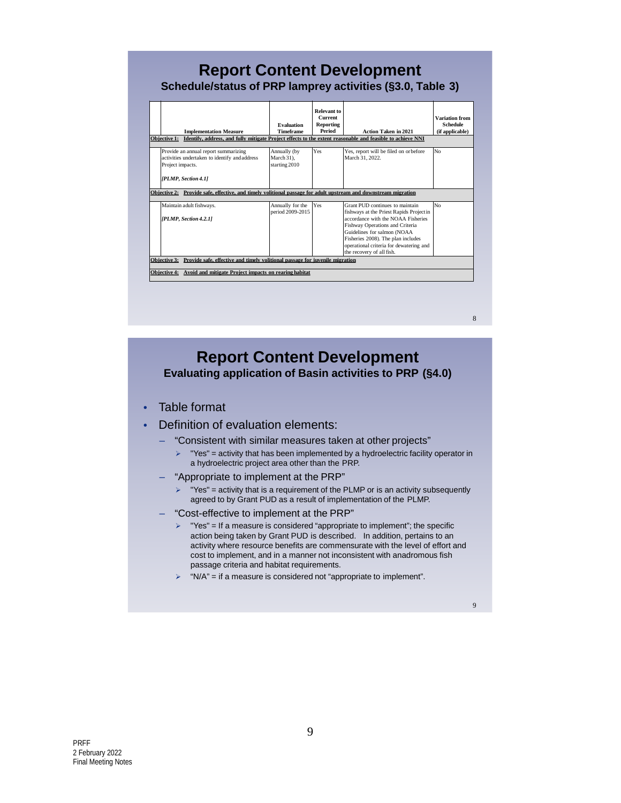| <b>Implementation Measure</b>                                                                                                                                      | <b>Evaluation</b><br><b>Timeframe</b>       | <b>Relevant to</b><br><b>Current</b><br>Reporting<br>Period | <b>Action Taken in 2021</b>                                                                                                                                                                                                                                    | <b>Variation from</b><br><b>Schedule</b><br>(if applicable) |
|--------------------------------------------------------------------------------------------------------------------------------------------------------------------|---------------------------------------------|-------------------------------------------------------------|----------------------------------------------------------------------------------------------------------------------------------------------------------------------------------------------------------------------------------------------------------------|-------------------------------------------------------------|
| <b>Objective 1:</b>                                                                                                                                                |                                             |                                                             | Identify, address, and fully mitigate Project effects to the extent reasonable and feasible to achieve NNI                                                                                                                                                     |                                                             |
| Provide an annual report summarizing<br>activities undertaken to identify and address<br>Project impacts.                                                          | Annually (by<br>March 31).<br>starting 2010 | Yes                                                         | Yes, report will be filed on or before<br>March 31, 2022.                                                                                                                                                                                                      | N <sub>0</sub>                                              |
| [PLMP, Section 4.1]<br>Objective 2: Provide safe, effective, and timely volitional passage for adult upstream and downstream migration<br>Maintain adult fishways. | Annually for the                            | l Yes                                                       | Grant PUD continues to maintain                                                                                                                                                                                                                                | No                                                          |
| [PLMP, Section 4.2.1]                                                                                                                                              | period 2009-2015                            |                                                             | fishways at the Priest Rapids Project in<br>accordance with the NOAA Fisheries<br>Fishway Operations and Criteria<br>Guidelines for salmon (NOAA<br>Fisheries 2008). The plan includes<br>operational criteria for dewatering and<br>the recovery of all fish. |                                                             |
| Provide safe, effective and timely volitional passage for juvenile migration<br><b>Objective 3:</b>                                                                |                                             |                                                             |                                                                                                                                                                                                                                                                |                                                             |
| Objective 4: Avoid and mitigate Project impacts on rearing habitat                                                                                                 |                                             |                                                             |                                                                                                                                                                                                                                                                |                                                             |

### **Report Content Development Evaluating application of Basin activities to PRP (§4.0)**

- Table format
- Definition of evaluation elements:
	- "Consistent with similar measures taken at other projects"
		- $\triangleright$  "Yes" = activity that has been implemented by a hydroelectric facility operator in a hydroelectric project area other than the PRP.
	- "Appropriate to implement at the PRP"
		- "Yes" = activity that is a requirement of the PLMP or is an activity subsequently agreed to by Grant PUD as a result of implementation of the PLMP.
	- "Cost-effective to implement at the PRP"
		- $\triangleright$  "Yes" = If a measure is considered "appropriate to implement"; the specific action being taken by Grant PUD is described. In addition, pertains to an activity where resource benefits are commensurate with the level of effort and cost to implement, and in a manner not inconsistent with anadromous fish passage criteria and habitat requirements.
		- $\triangleright$  "N/A" = if a measure is considered not "appropriate to implement".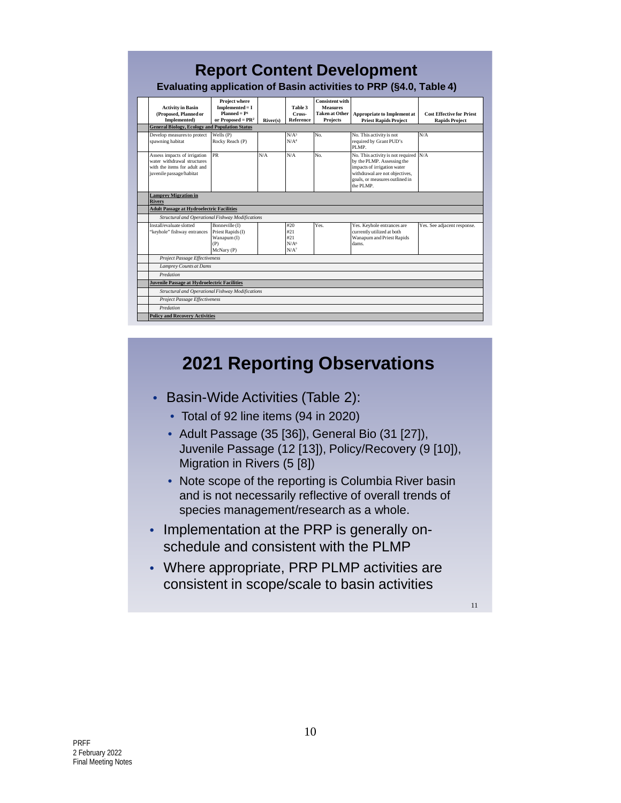| <b>Activity in Basin</b><br>(Proposed, Planned or<br>Implemented)                                                       | <b>Project where</b><br>$Implemented = I$<br>$Planned = P1$<br>or Proposed = $PR^2$ | River(s) | Table 3<br>Cross-<br>Reference                            | <b>Consistent with</b><br><b>Measures</b><br><b>Taken at Other</b><br>Projects | <b>Appropriate to Implement at</b><br><b>Priest Rapids Project</b>                                                                                                                    | <b>Cost Effective for Priest</b><br><b>Rapids Project</b> |  |  |
|-------------------------------------------------------------------------------------------------------------------------|-------------------------------------------------------------------------------------|----------|-----------------------------------------------------------|--------------------------------------------------------------------------------|---------------------------------------------------------------------------------------------------------------------------------------------------------------------------------------|-----------------------------------------------------------|--|--|
| <b>General Biology, Ecology and Population Status</b>                                                                   |                                                                                     |          |                                                           |                                                                                |                                                                                                                                                                                       |                                                           |  |  |
| Develop measures to protect<br>spawning habitat                                                                         | Wells (P)<br>Rocky Reach (P)                                                        |          | N/A <sup>3</sup><br>N/A <sup>4</sup>                      | No.                                                                            | No. This activity is not<br>required by Grant PUD's<br>PLMP.                                                                                                                          | N/A                                                       |  |  |
| Assess impacts of irrigation<br>water withdrawal structures<br>with the items for adult and<br>juvenile passage/habitat | <b>PR</b>                                                                           | N/A      | N/A                                                       | No.                                                                            | No. This activity is not required $N/A$<br>by the PLMP. Assessing the<br>impacts of irrigation water<br>withdrawal are not objectives.<br>goals, or measures outlined in<br>the PLMP. |                                                           |  |  |
| <b>Lamprey Migration in</b><br><b>Rivers</b>                                                                            |                                                                                     |          |                                                           |                                                                                |                                                                                                                                                                                       |                                                           |  |  |
| <b>Adult Passage at Hydroelectric Facilities</b>                                                                        |                                                                                     |          |                                                           |                                                                                |                                                                                                                                                                                       |                                                           |  |  |
| Structural and Operational Fishway Modifications                                                                        |                                                                                     |          |                                                           |                                                                                |                                                                                                                                                                                       |                                                           |  |  |
| Install/evaluate slotted<br>"keyhole" fishway entrances                                                                 | Bonneville (I)<br>Priest Rapids (I)<br>Wanapum (I)<br>(P)<br>McNary (P)             |          | #20<br>#21<br>#21<br>N/A <sub>6</sub><br>N/A <sup>7</sup> | Yes.                                                                           | Yes. Keyhole entrances are<br>currently utilized at both<br>Wanapum and Priest Rapids<br>dams.                                                                                        | Yes. See adjacent response.                               |  |  |
| <b>Project Passage Effectiveness</b>                                                                                    |                                                                                     |          |                                                           |                                                                                |                                                                                                                                                                                       |                                                           |  |  |
| <b>Lamprey Counts at Dams</b>                                                                                           |                                                                                     |          |                                                           |                                                                                |                                                                                                                                                                                       |                                                           |  |  |
| Predation                                                                                                               |                                                                                     |          |                                                           |                                                                                |                                                                                                                                                                                       |                                                           |  |  |
|                                                                                                                         |                                                                                     |          |                                                           |                                                                                |                                                                                                                                                                                       |                                                           |  |  |

# **2021 Reporting Observations**

- Basin-Wide Activities (Table 2):
	- Total of 92 line items (94 in 2020)
	- Adult Passage (35 [36]), General Bio (31 [27]), Juvenile Passage (12 [13]), Policy/Recovery (9 [10]), Migration in Rivers (5 [8])
	- Note scope of the reporting is Columbia River basin and is not necessarily reflective of overall trends of species management/research as a whole.
- Implementation at the PRP is generally onschedule and consistent with the PLMP
- Where appropriate, PRP PLMP activities are consistent in scope/scale to basin activities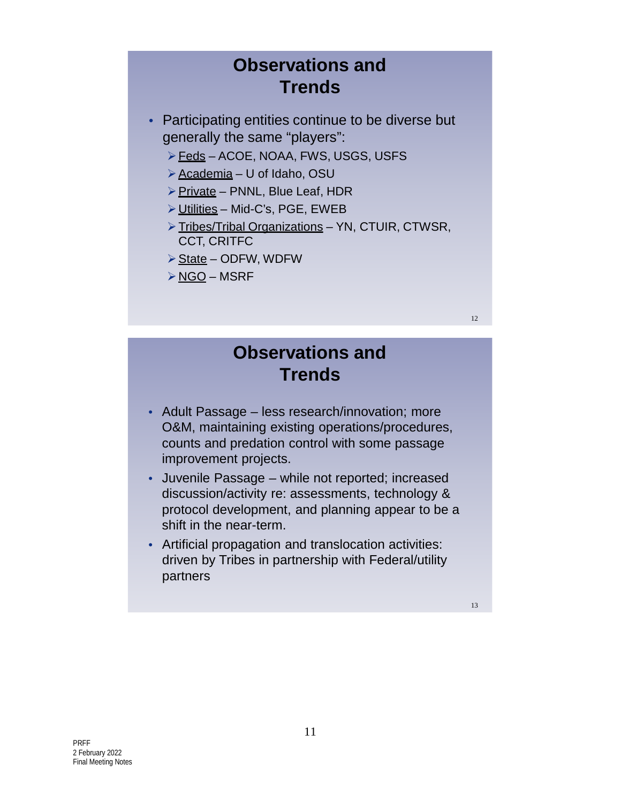# **Observations and Trends**

- Participating entities continue to be diverse but generally the same "players":
	- ▶ Feds ACOE, NOAA, FWS, USGS, USFS
	- Academia U of Idaho, OSU
	- $\triangleright$  Private PNNL, Blue Leaf, HDR
	- Utilities Mid-C's, PGE, EWEB
	- > Tribes/Tribal Organizations YN, CTUIR, CTWSR, CCT, CRITFC
	- $\triangleright$  State ODFW, WDFW
	- $\triangleright$  NGO MSRF

## **Observations and Trends**

- Adult Passage less research/innovation; more O&M, maintaining existing operations/procedures, counts and predation control with some passage improvement projects.
- Juvenile Passage while not reported; increased discussion/activity re: assessments, technology & protocol development, and planning appear to be a shift in the near-term.
- Artificial propagation and translocation activities: driven by Tribes in partnership with Federal/utility partners

13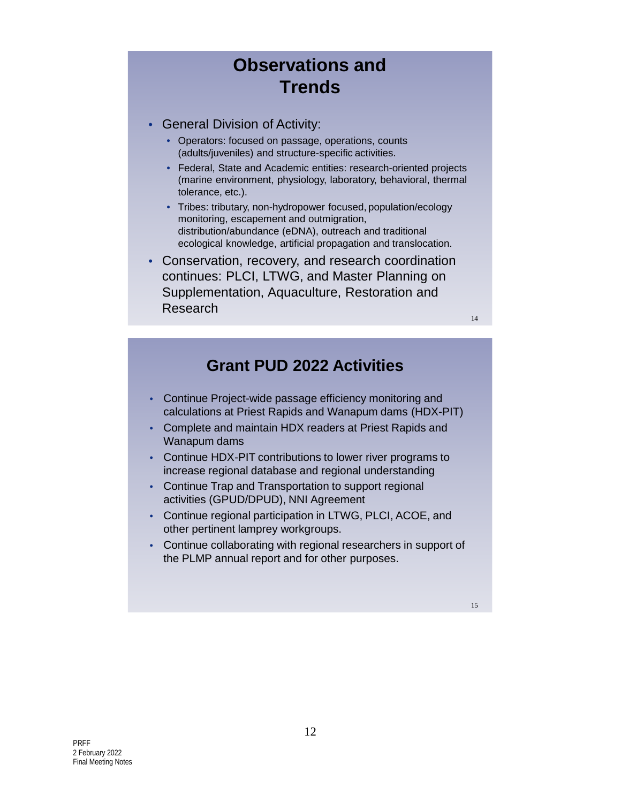# **Observations and Trends**

- General Division of Activity:
	- Operators: focused on passage, operations, counts (adults/juveniles) and structure-specific activities.
	- Federal, State and Academic entities: research-oriented projects (marine environment, physiology, laboratory, behavioral, thermal tolerance, etc.).
	- Tribes: tributary, non-hydropower focused, population/ecology monitoring, escapement and outmigration, distribution/abundance (eDNA), outreach and traditional ecological knowledge, artificial propagation and translocation.
- Conservation, recovery, and research coordination continues: PLCI, LTWG, and Master Planning on Supplementation, Aquaculture, Restoration and Research

**Grant PUD 2022 Activities**

- Continue Project-wide passage efficiency monitoring and calculations at Priest Rapids and Wanapum dams (HDX-PIT)
- Complete and maintain HDX readers at Priest Rapids and Wanapum dams
- Continue HDX-PIT contributions to lower river programs to increase regional database and regional understanding
- Continue Trap and Transportation to support regional activities (GPUD/DPUD), NNI Agreement
- Continue regional participation in LTWG, PLCI, ACOE, and other pertinent lamprey workgroups.
- Continue collaborating with regional researchers in support of the PLMP annual report and for other purposes.

15